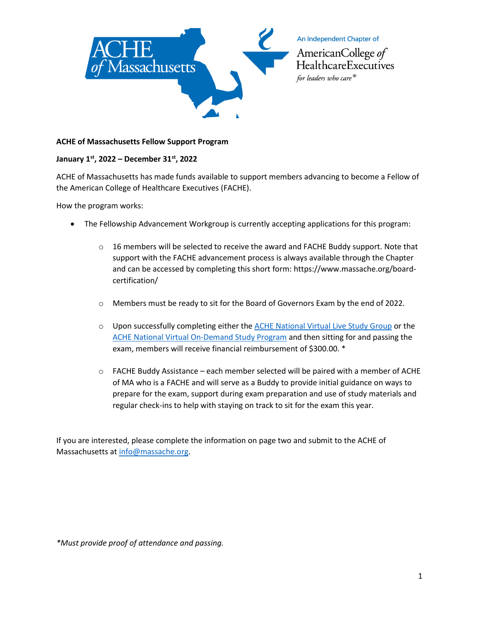

## **ACHE of Massachusetts Fellow Support Program**

## **January 1st, 2022 – December 31st, 2022**

ACHE of Massachusetts has made funds available to support members advancing to become a Fellow of the American College of Healthcare Executives (FACHE).

How the program works:

- The Fellowship Advancement Workgroup is currently accepting applications for this program:
	- $\circ$  16 members will be selected to receive the award and FACHE Buddy support. Note that support with the FACHE advancement process is always available through the Chapter and can be accessed by completing this short form: https://www.massache.org/boardcertification/
	- o Members must be ready to sit for the Board of Governors Exam by the end of 2022.
	- $\circ$  Upon successfully completing either the [ACHE National Virtual Live Study Group](https://www.ache.org/learning-center/education-and-events/events/single-session-events/VBOGRC222) or the [ACHE National Virtual On-Demand Study Program](https://www.ache.org/learning-center/education-and-events/events/single-session-events/bogtut20) and then sitting for and passing the exam, members will receive financial reimbursement of \$300.00. \*
	- $\circ$  FACHE Buddy Assistance each member selected will be paired with a member of ACHE of MA who is a FACHE and will serve as a Buddy to provide initial guidance on ways to prepare for the exam, support during exam preparation and use of study materials and regular check-ins to help with staying on track to sit for the exam this year.

If you are interested, please complete the information on page two and submit to the ACHE of Massachusetts at [info@massache.org.](mailto:anna@ctcapitolgroup.com)

*\*Must provide proof of attendance and passing.*